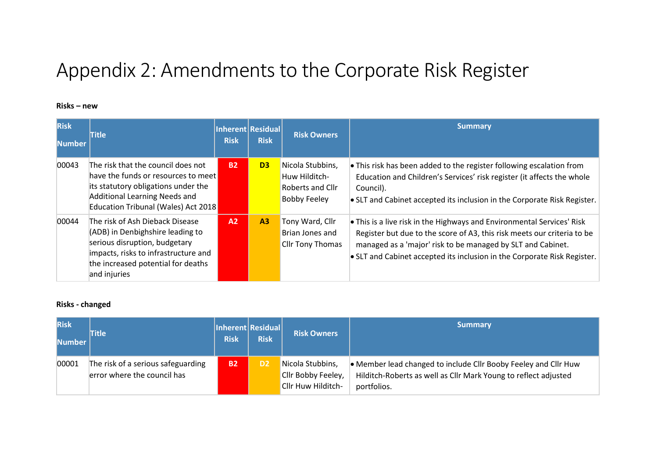# Appendix 2: Amendments to the Corporate Risk Register

### **Risks – new**

| <b>Risk</b><br>lNumber l | <b>Title</b>                                                                                                                                                                                       | <b>Risk</b> | Inherent Residual<br><b>Risk</b> | <b>Risk Owners</b>                                                                  | <b>Summary</b>                                                                                                                                                                                                                                                                               |
|--------------------------|----------------------------------------------------------------------------------------------------------------------------------------------------------------------------------------------------|-------------|----------------------------------|-------------------------------------------------------------------------------------|----------------------------------------------------------------------------------------------------------------------------------------------------------------------------------------------------------------------------------------------------------------------------------------------|
| 00043                    | The risk that the council does not<br>have the funds or resources to meet<br>its statutory obligations under the<br>Additional Learning Needs and<br>Education Tribunal (Wales) Act 2018           | <b>B2</b>   | D <sub>3</sub>                   | Nicola Stubbins,<br>Huw Hilditch-<br><b>Roberts and Cllr</b><br><b>Bobby Feeley</b> | • This risk has been added to the register following escalation from<br>Education and Children's Services' risk register (it affects the whole<br>Council).<br>• SLT and Cabinet accepted its inclusion in the Corporate Risk Register.                                                      |
| 00044                    | The risk of Ash Dieback Disease<br>(ADB) in Denbighshire leading to<br>serious disruption, budgetary<br>impacts, risks to infrastructure and<br>the increased potential for deaths<br>and injuries | A2          | A <sub>3</sub>                   | Tony Ward, Cllr<br>Brian Jones and<br>Cllr Tony Thomas                              | • This is a live risk in the Highways and Environmental Services' Risk<br>Register but due to the score of A3, this risk meets our criteria to be<br>managed as a 'major' risk to be managed by SLT and Cabinet.<br>• SLT and Cabinet accepted its inclusion in the Corporate Risk Register. |

### **Risks - changed**

| <b>Risk</b><br>lNumber l | <b>Title</b>                                                      | Inherent Residual<br><b>Risk</b> | <b>Risk</b>    | <b>Risk Owners</b>                                           | <b>Summary</b>                                                                                                                                    |
|--------------------------|-------------------------------------------------------------------|----------------------------------|----------------|--------------------------------------------------------------|---------------------------------------------------------------------------------------------------------------------------------------------------|
| 00001                    | The risk of a serious safeguarding<br>error where the council has | <b>B2</b>                        | D <sub>2</sub> | Nicola Stubbins,<br>Cllr Bobby Feeley,<br>Cllr Huw Hilditch- | • Member lead changed to include Cllr Booby Feeley and Cllr Huw<br>Hilditch-Roberts as well as Cllr Mark Young to reflect adjusted<br>portfolios. |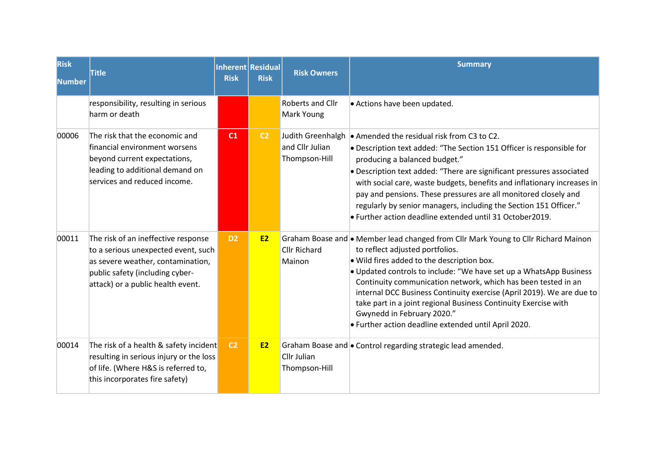| <b>Risk</b><br>Number | <b>Title</b>                                                                                                                                                                            | Inherent Residual<br><b>Risk</b> | <b>Risk</b>    | <b>Risk Owners</b>                                    | <b>Summary</b>                                                                                                                                                                                                                                                                                                                                                                                                                                                                                                                               |
|-----------------------|-----------------------------------------------------------------------------------------------------------------------------------------------------------------------------------------|----------------------------------|----------------|-------------------------------------------------------|----------------------------------------------------------------------------------------------------------------------------------------------------------------------------------------------------------------------------------------------------------------------------------------------------------------------------------------------------------------------------------------------------------------------------------------------------------------------------------------------------------------------------------------------|
|                       | responsibility, resulting in serious<br>harm or death                                                                                                                                   |                                  |                | Roberts and Cllr<br>Mark Young                        | • Actions have been updated.                                                                                                                                                                                                                                                                                                                                                                                                                                                                                                                 |
| 00006                 | The risk that the economic and<br>financial environment worsens<br>beyond current expectations,<br>leading to additional demand on<br>services and reduced income.                      | C1                               | C <sub>2</sub> | Judith Greenhalgh<br>and Cllr Julian<br>Thompson-Hill | • Amended the residual risk from C3 to C2.<br>• Description text added: "The Section 151 Officer is responsible for<br>producing a balanced budget."<br>• Description text added: "There are significant pressures associated<br>with social care, waste budgets, benefits and inflationary increases in<br>pay and pensions. These pressures are all monitored closely and<br>regularly by senior managers, including the Section 151 Officer."<br>. Further action deadline extended until 31 October2019.                                 |
| 00011                 | The risk of an ineffective response<br>to a serious unexpected event, such<br>as severe weather, contamination,<br>public safety (including cyber-<br>attack) or a public health event. | D <sub>2</sub>                   | <b>E2</b>      | <b>Cllr Richard</b><br>Mainon                         | Graham Boase and • Member lead changed from Cllr Mark Young to Cllr Richard Mainon<br>to reflect adjusted portfolios.<br>. Wild fires added to the description box.<br>. Updated controls to include: "We have set up a WhatsApp Business<br>Continuity communication network, which has been tested in an<br>internal DCC Business Continuity exercise (April 2019). We are due to<br>take part in a joint regional Business Continuity Exercise with<br>Gwynedd in February 2020."<br>• Further action deadline extended until April 2020. |
| 00014                 | The risk of a health & safety incident<br>resulting in serious injury or the loss<br>of life. (Where H&S is referred to,<br>this incorporates fire safety)                              | C <sub>2</sub>                   | <b>E2</b>      | Cllr Julian<br>Thompson-Hill                          | Graham Boase and • Control regarding strategic lead amended.                                                                                                                                                                                                                                                                                                                                                                                                                                                                                 |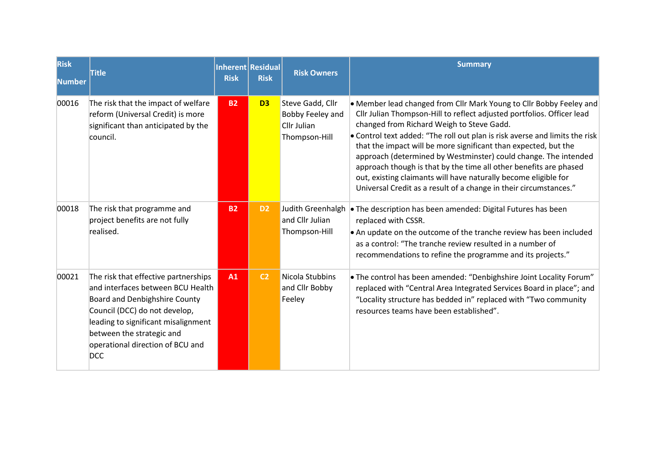| <b>Risk</b><br><b>lNumber</b> | <b>Title</b>                                                                                                                                                                                                                                                      | <b>Risk</b> | Inherent Residual<br><b>Risk</b> | <b>Risk Owners</b>                                                   | <b>Summary</b>                                                                                                                                                                                                                                                                                                                                                                                                                                                                                                                                                                                                               |
|-------------------------------|-------------------------------------------------------------------------------------------------------------------------------------------------------------------------------------------------------------------------------------------------------------------|-------------|----------------------------------|----------------------------------------------------------------------|------------------------------------------------------------------------------------------------------------------------------------------------------------------------------------------------------------------------------------------------------------------------------------------------------------------------------------------------------------------------------------------------------------------------------------------------------------------------------------------------------------------------------------------------------------------------------------------------------------------------------|
| 00016                         | The risk that the impact of welfare<br>reform (Universal Credit) is more<br>significant than anticipated by the<br>council.                                                                                                                                       | <b>B2</b>   | D <sub>3</sub>                   | Steve Gadd, Cllr<br>Bobby Feeley and<br>Cllr Julian<br>Thompson-Hill | • Member lead changed from Cllr Mark Young to Cllr Bobby Feeley and<br>Cllr Julian Thompson-Hill to reflect adjusted portfolios. Officer lead<br>changed from Richard Weigh to Steve Gadd.<br>• Control text added: "The roll out plan is risk averse and limits the risk<br>that the impact will be more significant than expected, but the<br>approach (determined by Westminster) could change. The intended<br>approach though is that by the time all other benefits are phased<br>out, existing claimants will have naturally become eligible for<br>Universal Credit as a result of a change in their circumstances." |
| 00018                         | The risk that programme and<br>project benefits are not fully<br>realised.                                                                                                                                                                                        | <b>B2</b>   | D <sub>2</sub>                   | Judith Greenhalgh<br>and Cllr Julian<br>Thompson-Hill                | • The description has been amended: Digital Futures has been<br>replaced with CSSR.<br>An update on the outcome of the tranche review has been included<br>as a control: "The tranche review resulted in a number of<br>recommendations to refine the programme and its projects."                                                                                                                                                                                                                                                                                                                                           |
| 00021                         | The risk that effective partnerships<br>and interfaces between BCU Health<br>Board and Denbighshire County<br>Council (DCC) do not develop,<br>leading to significant misalignment<br>between the strategic and<br>operational direction of BCU and<br><b>DCC</b> | A1          | C <sub>2</sub>                   | Nicola Stubbins<br>and Cllr Bobby<br>Feeley                          | • The control has been amended: "Denbighshire Joint Locality Forum"<br>replaced with "Central Area Integrated Services Board in place"; and<br>"Locality structure has bedded in" replaced with "Two community<br>resources teams have been established".                                                                                                                                                                                                                                                                                                                                                                    |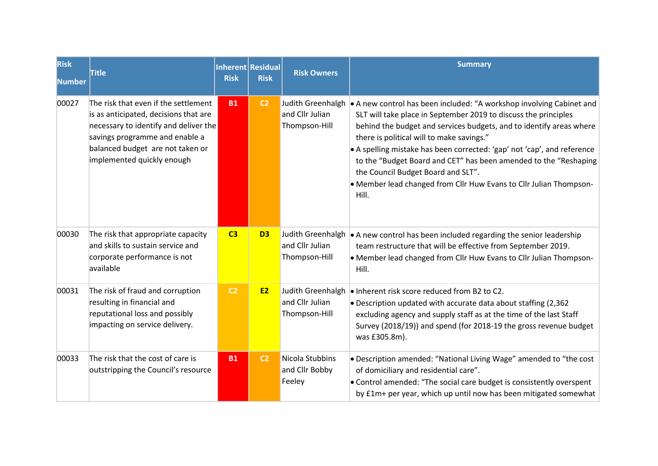| <b>Risk</b><br>Number | <b>Title</b>                                                                                                                                                                                                               | <b>Risk</b>    | Inherent Residual<br><b>Risk</b> | <b>Risk Owners</b>                                    | <b>Summary</b>                                                                                                                                                                                                                                                                                                                                                                                                                                                                                                                |
|-----------------------|----------------------------------------------------------------------------------------------------------------------------------------------------------------------------------------------------------------------------|----------------|----------------------------------|-------------------------------------------------------|-------------------------------------------------------------------------------------------------------------------------------------------------------------------------------------------------------------------------------------------------------------------------------------------------------------------------------------------------------------------------------------------------------------------------------------------------------------------------------------------------------------------------------|
| 00027                 | The risk that even if the settlement<br>is as anticipated, decisions that are<br>necessary to identify and deliver the<br>savings programme and enable a<br>balanced budget are not taken or<br>implemented quickly enough | <b>B1</b>      | C <sub>2</sub>                   | Judith Greenhalgh<br>and Cllr Julian<br>Thompson-Hill | A new control has been included: "A workshop involving Cabinet and<br>SLT will take place in September 2019 to discuss the principles<br>behind the budget and services budgets, and to identify areas where<br>there is political will to make savings."<br>• A spelling mistake has been corrected: 'gap' not 'cap', and reference<br>to the "Budget Board and CET" has been amended to the "Reshaping<br>the Council Budget Board and SLT".<br>. Member lead changed from Cllr Huw Evans to Cllr Julian Thompson-<br>Hill. |
| 00030                 | The risk that appropriate capacity<br>and skills to sustain service and<br>corporate performance is not<br>available                                                                                                       | C3             | D <sub>3</sub>                   | Judith Greenhalgh<br>and Cllr Julian<br>Thompson-Hill | $\bullet$ A new control has been included regarding the senior leadership<br>team restructure that will be effective from September 2019.<br>• Member lead changed from Cllr Huw Evans to Cllr Julian Thompson-<br>Hill.                                                                                                                                                                                                                                                                                                      |
| 00031                 | The risk of fraud and corruption<br>resulting in financial and<br>reputational loss and possibly<br>impacting on service delivery.                                                                                         | C <sub>2</sub> | <b>E2</b>                        | Judith Greenhalgh<br>and Cllr Julian<br>Thompson-Hill | . Inherent risk score reduced from B2 to C2.<br>• Description updated with accurate data about staffing (2,362)<br>excluding agency and supply staff as at the time of the last Staff<br>Survey (2018/19)) and spend (for 2018-19 the gross revenue budget<br>was £305.8m).                                                                                                                                                                                                                                                   |
| 00033                 | The risk that the cost of care is<br>outstripping the Council's resource                                                                                                                                                   | <b>B1</b>      | C <sub>2</sub>                   | Nicola Stubbins<br>and Cllr Bobby<br>Feeley           | • Description amended: "National Living Wage" amended to "the cost<br>of domiciliary and residential care".<br>• Control amended: "The social care budget is consistently overspent<br>by £1m+ per year, which up until now has been mitigated somewhat                                                                                                                                                                                                                                                                       |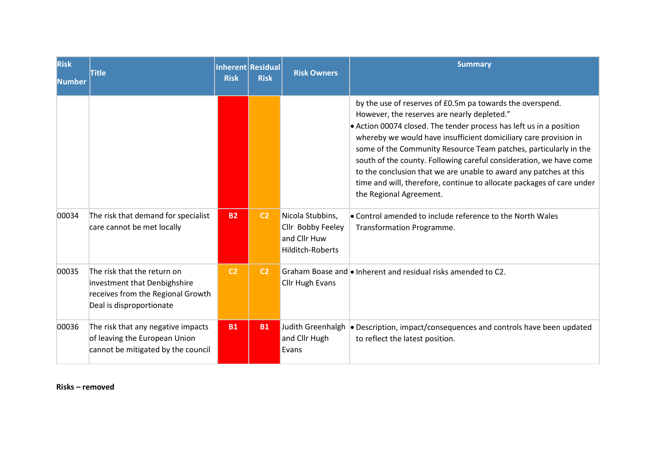| <b>Risk</b><br><b>Number</b> | <b>Title</b>                                                                                                                 | <b>Risk</b>    | Inherent Residual<br><b>Risk</b> | <b>Risk Owners</b>                                                        | <b>Summary</b>                                                                                                                                                                                                                                                                                                                                                                                                                                                                                                                                                         |
|------------------------------|------------------------------------------------------------------------------------------------------------------------------|----------------|----------------------------------|---------------------------------------------------------------------------|------------------------------------------------------------------------------------------------------------------------------------------------------------------------------------------------------------------------------------------------------------------------------------------------------------------------------------------------------------------------------------------------------------------------------------------------------------------------------------------------------------------------------------------------------------------------|
|                              |                                                                                                                              |                |                                  |                                                                           | by the use of reserves of £0.5m pa towards the overspend.<br>However, the reserves are nearly depleted."<br>• Action 00074 closed. The tender process has left us in a position<br>whereby we would have insufficient domiciliary care provision in<br>some of the Community Resource Team patches, particularly in the<br>south of the county. Following careful consideration, we have come<br>to the conclusion that we are unable to award any patches at this<br>time and will, therefore, continue to allocate packages of care under<br>the Regional Agreement. |
| 00034                        | The risk that demand for specialist<br>care cannot be met locally                                                            | <b>B2</b>      | C <sub>2</sub>                   | Nicola Stubbins,<br>Cllr Bobby Feeley<br>and Cllr Huw<br>Hilditch-Roberts | • Control amended to include reference to the North Wales<br>Transformation Programme.                                                                                                                                                                                                                                                                                                                                                                                                                                                                                 |
| 00035                        | The risk that the return on<br>investment that Denbighshire<br>receives from the Regional Growth<br>Deal is disproportionate | C <sub>2</sub> | C <sub>2</sub>                   | <b>Cllr Hugh Evans</b>                                                    | Graham Boase and • Inherent and residual risks amended to C2.                                                                                                                                                                                                                                                                                                                                                                                                                                                                                                          |
| 00036                        | The risk that any negative impacts<br>of leaving the European Union<br>cannot be mitigated by the council                    | <b>B1</b>      | <b>B1</b>                        | Judith Greenhalgh<br>and Cllr Hugh<br>Evans                               | • Description, impact/consequences and controls have been updated<br>to reflect the latest position.                                                                                                                                                                                                                                                                                                                                                                                                                                                                   |

#### **Risks – removed**